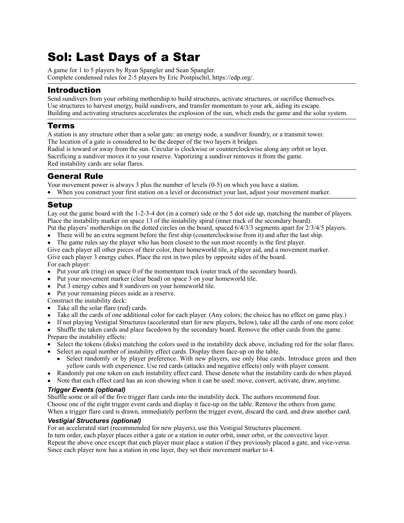# Sol: Last Days of a Star

A game for 1 to 5 players by Ryan Spangler and Sean Spangler. Complete condensed rules for 2-5 players by Eric Postpischil, https://edp.org/.

# Introduction

Send sundivers from your orbiting mothership to build structures, activate structures, or sacrifice themselves. Use structures to harvest energy, build sundivers, and transfer momentum to your ark, aiding its escape. Building and activating structures accelerates the explosion of the sun, which ends the game and the solar system.

### Terms

A station is any structure other than a solar gate: an energy node, a sundiver foundry, or a transmit tower. The location of a gate is considered to be the deeper of the two layers it bridges.

Radial is toward or away from the sun. Circular is clockwise or counterclockwise along any orbit or layer. Sacrificing a sundiver moves it to your reserve. Vaporizing a sundiver removes it from the game. Red instability cards are solar flares.

### General Rule

Your movement power is always 3 plus the number of levels (0-5) on which you have a station.

When you construct your first station on a level or deconstruct your last, adjust your movement marker.

### Setup

Lay out the game board with the 1-2-3-4 dot (in a corner) side or the 5 dot side up, matching the number of players. Place the instability marker on space 13 of the instability spiral (inner track of the secondary board).

- Put the players' motherships on the dotted circles on the board, spaced 6/4/3/3 segments apart for 2/3/4/5 players.
- There will be an extra segment before the first ship (counterclockwise from it) and after the last ship.
- The game rules say the player who has been closest to the sun most recently is the first player.

Give each player all other pieces of their color, their homeworld tile, a player aid, and a movement marker. Give each player 3 energy cubes. Place the rest in two piles by opposite sides of the board. For each player:

- Put your ark (ring) on space 0 of the momentum track (outer track of the secondary board).
- Put your movement marker (clear bead) on space 3 on your homeworld tile.
- Put 3 energy cubes and 8 sundivers on your homeworld tile.
- Put your remaining pieces aside as a reserve.
- Construct the instability deck:
- Take all the solar flare (red) cards.
- Take all the cards of one additional color for each player. (Any colors; the choice has no effect on game play.)
- If not playing Vestigial Structures (accelerated start for new players, below), take all the cards of one more color.
- Shuffle the taken cards and place facedown by the secondary board. Remove the other cards from the game. Prepare the instability effects:
- Select the tokens (disks) matching the colors used in the instability deck above, including red for the solar flares.
- Select an equal number of instability effect cards. Display them face-up on the table.
	- Select randomly or by player preference. With new players, use only blue cards. Introduce green and then yellow cards with experience. Use red cards (attacks and negative effects) only with player consent.
- Randomly put one token on each instability effect card. These denote what the instability cards do when played.
- Note that each effect card has an icon showing when it can be used: move, convert, activate, draw, anytime.

#### *Trigger Events (optional)*

Shuffle some or all of the five trigger flare cards into the instability deck. The authors recommend four. Choose one of the eight trigger event cards and display it face-up on the table. Remove the others from game. When a trigger flare card is drawn, immediately perform the trigger event, discard the card, and draw another card.

#### *Vestigial Structures (optional)*

For an accelerated start (recommended for new players), use this Vestigial Structures placement.

In turn order, each player places either a gate or a station in outer orbit, inner orbit, or the convective layer. Repeat the above once except that each player must place a station if they previously placed a gate, and vice-versa. Since each player now has a station in one layer, they set their movement marker to 4.